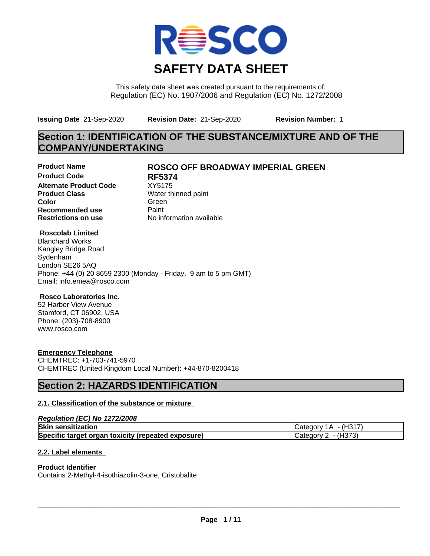

This safety data sheet was created pursuant to the requirements of: Regulation (EC) No. 1907/2006 and Regulation (EC) No. 1272/2008

**Issuing Date** 21-Sep-2020 **Revision Date:** 21-Sep-2020 **Revision Number:** 1

# **Section 1: IDENTIFICATION OF THE SUBSTANCE/MIXTURE AND OF THE COMPANY/UNDERTAKING**

**Product Code RF5374 Alternate Product Code** XY5175<br> **Product Class** Water th **Color** Green **Green** Green **Green Recommended use** Paint<br> **Restrictions on use** Mo information available **Restrictions on use** 

### **Product Name ROSCO OFF BROADWAY IMPERIAL GREEN**

**Water thinned paint** 

#### **Roscolab Limited**

Blanchard Works Kangley Bridge Road Sydenham London SE26 5AQ Phone: +44 (0) 20 8659 2300 (Monday - Friday, 9 am to 5 pm GMT) Email: info.emea@rosco.com

#### **Rosco Laboratories Inc.**

52 Harbor View Avenue Stamford, CT 06902, USA Phone: (203)-708-8900 www.rosco.com

#### **Emergency Telephone**

CHEMTREC: +1-703-741-5970 CHEMTREC (United Kingdom Local Number): +44-870-8200418

## **Section 2: HAZARDS IDENTIFICATION**

#### **2.1. Classification of the substance or mixture**

#### *Regulation (EC) No 1272/2008*

| <b>Skin sensitization</b>                          | - (H31 <sup>-</sup><br>ICategory 1A |
|----------------------------------------------------|-------------------------------------|
| Specific target organ toxicity (repeated exposure) | - (H373)<br>Category 1              |

#### **2.2. Label elements**

#### **Product Identifier**

Contains 2-Methyl-4-isothiazolin-3-one, Cristobalite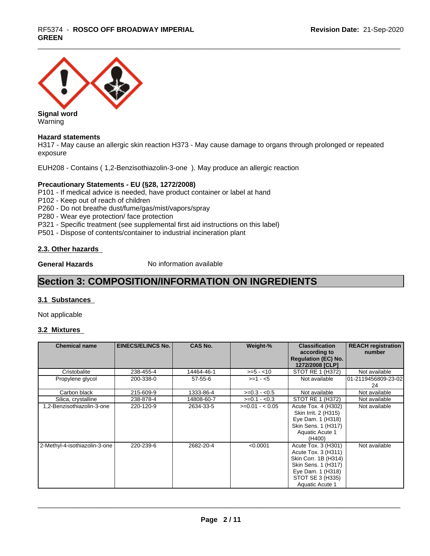# \_\_\_\_\_\_\_\_\_\_\_\_\_\_\_\_\_\_\_\_\_\_\_\_\_\_\_\_\_\_\_\_\_\_\_\_\_\_\_\_\_\_\_\_\_\_\_\_\_\_\_\_\_\_\_\_\_\_\_\_\_\_\_\_\_\_\_\_\_\_\_\_\_\_\_\_\_\_\_\_\_\_\_\_\_\_\_\_\_\_\_\_\_ RF5374 - **ROSCO OFF BROADWAY IMPERIAL GREEN**



Warning

#### **Hazard statements**

H317 - May cause an allergic skin reaction H373 - May cause damage to organs through prolonged or repeated exposure

EUH208 - Contains ( 1,2-Benzisothiazolin-3-one ). May produce an allergic reaction

#### **Precautionary Statements - EU (§28, 1272/2008)**

P101 - If medical advice is needed, have product container or label at hand

- P102 Keep out of reach of children
- P260 Do not breathe dust/fume/gas/mist/vapors/spray
- P280 Wear eye protection/ face protection
- P321 Specific treatment (see supplemental first aid instructions on this label)
- P501 Dispose of contents/container to industrial incineration plant

#### **2.3. Other hazards**

**General Hazards** No information available

## **Section 3: COMPOSITION/INFORMATION ON INGREDIENTS**

#### **3.1 Substances**

Not applicable

#### **3.2 Mixtures**

| <b>Chemical name</b>          | <b>EINECS/ELINCS No.</b> | <b>CAS No.</b> | Weight-%        | <b>Classification</b><br>according to<br><b>Regulation (EC) No.</b><br>1272/2008 [CLP]                                                                | <b>REACH registration</b><br>number |
|-------------------------------|--------------------------|----------------|-----------------|-------------------------------------------------------------------------------------------------------------------------------------------------------|-------------------------------------|
| Cristobalite                  | 238-455-4                | 14464-46-1     | $>= 5 - 10$     | STOT RE 1 (H372)                                                                                                                                      | Not available                       |
| Propylene glycol              | 200-338-0                | $57 - 55 - 6$  | $>=1 - 5$       | Not available                                                                                                                                         | 01-2119456809-23-02<br>24           |
| Carbon black                  | 215-609-9                | 1333-86-4      | $>=0.3 - 0.5$   | Not available                                                                                                                                         | Not available                       |
| Silica, crystalline           | 238-878-4                | 14808-60-7     | $>=0.1 - 0.3$   | STOT RE 1 (H372)                                                                                                                                      | Not available                       |
| 1,2-Benzisothiazolin-3-one    | 220-120-9                | 2634-33-5      | $>=0.01 - 0.05$ | Acute Tox. 4 (H302)<br>Skin Irrit. 2 (H315)<br>Eye Dam. 1 (H318)<br>Skin Sens. 1 (H317)<br>Aquatic Acute 1<br>(H400)                                  | Not available                       |
| 2-Methyl-4-isothiazolin-3-one | 220-239-6                | 2682-20-4      | < 0.0001        | Acute Tox. 3 (H301)<br>Acute Tox. 3 (H311)<br>Skin Corr. 1B (H314)<br>Skin Sens. 1 (H317)<br>Eye Dam. 1 (H318)<br>STOT SE 3 (H335)<br>Aquatic Acute 1 | Not available                       |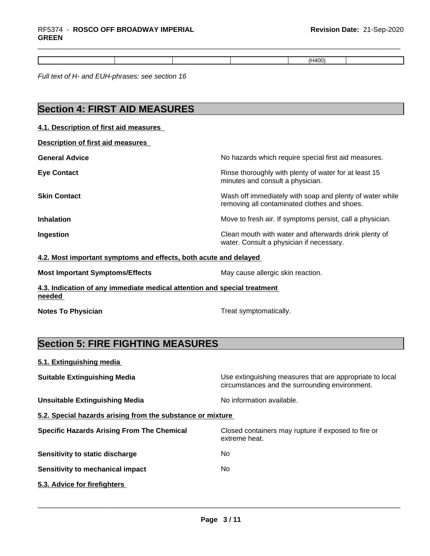*Full text of H- and EUH-phrases: see section 16*

# **Section 4: FIRST AID MEASURES**

### **4.1. Description of first aid measures**

| No hazards which require special first aid measures.                                                     |
|----------------------------------------------------------------------------------------------------------|
| Rinse thoroughly with plenty of water for at least 15<br>minutes and consult a physician.                |
| Wash off immediately with soap and plenty of water while<br>removing all contaminated clothes and shoes. |
| Move to fresh air. If symptoms persist, call a physician.                                                |
| Clean mouth with water and afterwards drink plenty of<br>water. Consult a physician if necessary.        |
|                                                                                                          |

#### **4.2. Most important symptoms and effects, both acute and delayed**

| <b>Most Important Symptoms/Effects</b>                                             | May cause allergic skin reaction. |
|------------------------------------------------------------------------------------|-----------------------------------|
| 4.3. Indication of any immediate medical attention and special treatment<br>needed |                                   |

**Notes To Physician** Motes To Physician Treat symptomatically.

# **Section 5: FIRE FIGHTING MEASURES**

#### **5.1. Extinguishing media**

| <b>Suitable Extinguishing Media</b>                        | Use extinguishing measures that are appropriate to local<br>circumstances and the surrounding environment. |
|------------------------------------------------------------|------------------------------------------------------------------------------------------------------------|
| <b>Unsuitable Extinguishing Media</b>                      | No information available.                                                                                  |
| 5.2. Special hazards arising from the substance or mixture |                                                                                                            |
| <b>Specific Hazards Arising From The Chemical</b>          | Closed containers may rupture if exposed to fire or<br>extreme heat.                                       |
| Sensitivity to static discharge                            | No.                                                                                                        |
| <b>Sensitivity to mechanical impact</b>                    | No.                                                                                                        |
| 5.3. Advice for firefighters                               |                                                                                                            |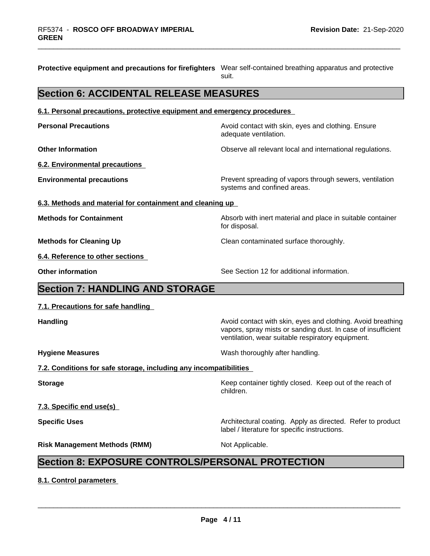| Protective equipment and precautions for firefighters  Wear self-contained breathing apparatus and protective | suit.                                                                                                                                                                            |
|---------------------------------------------------------------------------------------------------------------|----------------------------------------------------------------------------------------------------------------------------------------------------------------------------------|
| <b>Section 6: ACCIDENTAL RELEASE MEASURES</b>                                                                 |                                                                                                                                                                                  |
| 6.1. Personal precautions, protective equipment and emergency procedures                                      |                                                                                                                                                                                  |
| <b>Personal Precautions</b>                                                                                   | Avoid contact with skin, eyes and clothing. Ensure<br>adequate ventilation.                                                                                                      |
| <b>Other Information</b>                                                                                      | Observe all relevant local and international regulations.                                                                                                                        |
| 6.2. Environmental precautions                                                                                |                                                                                                                                                                                  |
| <b>Environmental precautions</b>                                                                              | Prevent spreading of vapors through sewers, ventilation<br>systems and confined areas.                                                                                           |
| 6.3. Methods and material for containment and cleaning up                                                     |                                                                                                                                                                                  |
| <b>Methods for Containment</b>                                                                                | Absorb with inert material and place in suitable container<br>for disposal.                                                                                                      |
| <b>Methods for Cleaning Up</b>                                                                                | Clean contaminated surface thoroughly.                                                                                                                                           |
| 6.4. Reference to other sections                                                                              |                                                                                                                                                                                  |
| <b>Other information</b>                                                                                      | See Section 12 for additional information.                                                                                                                                       |
| <b>Section 7: HANDLING AND STORAGE</b>                                                                        |                                                                                                                                                                                  |
| 7.1. Precautions for safe handling                                                                            |                                                                                                                                                                                  |
| <b>Handling</b>                                                                                               | Avoid contact with skin, eyes and clothing. Avoid breathing<br>vapors, spray mists or sanding dust. In case of insufficient<br>ventilation, wear suitable respiratory equipment. |
| <b>Hygiene Measures</b>                                                                                       | Wash thoroughly after handling.                                                                                                                                                  |
| 7.2. Conditions for safe storage, including any incompatibilities                                             |                                                                                                                                                                                  |
| <b>Storage</b>                                                                                                | Keep container tightly closed. Keep out of the reach of<br>children.                                                                                                             |
| 7.3. Specific end use(s)                                                                                      |                                                                                                                                                                                  |
| <b>Specific Uses</b>                                                                                          | Architectural coating. Apply as directed. Refer to product<br>label / literature for specific instructions.                                                                      |
| <b>Risk Management Methods (RMM)</b>                                                                          | Not Applicable.                                                                                                                                                                  |
| <b>Section 8: EXPOSURE CONTROLS/PERSONAL PROTECTION</b>                                                       |                                                                                                                                                                                  |
| 8.1. Control parameters                                                                                       |                                                                                                                                                                                  |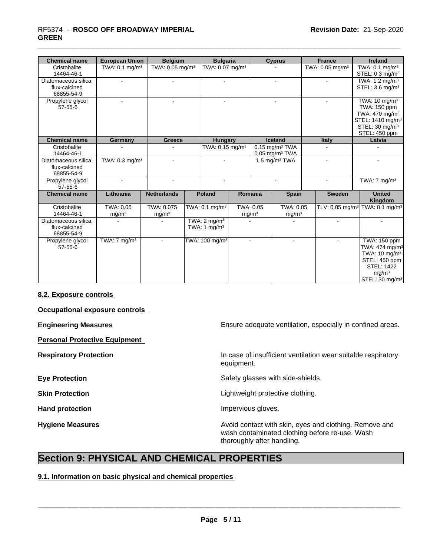# \_\_\_\_\_\_\_\_\_\_\_\_\_\_\_\_\_\_\_\_\_\_\_\_\_\_\_\_\_\_\_\_\_\_\_\_\_\_\_\_\_\_\_\_\_\_\_\_\_\_\_\_\_\_\_\_\_\_\_\_\_\_\_\_\_\_\_\_\_\_\_\_\_\_\_\_\_\_\_\_\_\_\_\_\_\_\_\_\_\_\_\_\_ RF5374 - **ROSCO OFF BROADWAY IMPERIAL GREEN**

| <b>Chemical name</b> | <b>European Union</b>                       | <b>Belgium</b>              |  | <b>Bulgaria</b>             |                              |                              | <b>Cyprus</b>     |                             | <b>France</b>               |        | <b>Ireland</b>               |  |  |  |  |  |                            |
|----------------------|---------------------------------------------|-----------------------------|--|-----------------------------|------------------------------|------------------------------|-------------------|-----------------------------|-----------------------------|--------|------------------------------|--|--|--|--|--|----------------------------|
| Cristobalite         | TWA: $0.1 \text{ mg/m}^3$                   | TWA: 0.05 mg/m <sup>3</sup> |  | TWA: 0.07 mg/m <sup>3</sup> |                              |                              |                   | TWA: 0.05 mg/m <sup>3</sup> |                             |        | TWA: $0.1 \text{ mg/m}^3$    |  |  |  |  |  |                            |
| 14464-46-1           |                                             |                             |  |                             |                              |                              |                   |                             |                             |        |                              |  |  |  |  |  | STEL: $0.3 \text{ mg/m}^3$ |
| Diatomaceous silica. | $\sim$                                      | $\blacksquare$              |  | $\blacksquare$              |                              | $\overline{a}$               |                   |                             | $\sim$                      |        | TWA: $1.2 \text{ mg/m}^3$    |  |  |  |  |  |                            |
| flux-calcined        |                                             |                             |  |                             |                              |                              |                   |                             |                             |        | STEL: $3.6 \text{ mg/m}^3$   |  |  |  |  |  |                            |
| 68855-54-9           |                                             |                             |  |                             |                              |                              |                   |                             |                             |        |                              |  |  |  |  |  |                            |
| Propylene glycol     |                                             | $\blacksquare$              |  |                             |                              |                              |                   |                             |                             |        | TWA: 10 mg/m <sup>3</sup>    |  |  |  |  |  |                            |
| $57 - 55 - 6$        |                                             |                             |  |                             |                              |                              |                   |                             |                             |        | TWA: 150 ppm                 |  |  |  |  |  |                            |
|                      |                                             |                             |  |                             |                              |                              |                   |                             |                             |        | TWA: 470 mg/m <sup>3</sup>   |  |  |  |  |  |                            |
|                      |                                             |                             |  |                             |                              |                              |                   |                             |                             |        | STEL: 1410 mg/m <sup>3</sup> |  |  |  |  |  |                            |
|                      |                                             |                             |  |                             |                              |                              |                   |                             |                             |        | STEL: 30 mg/m <sup>3</sup>   |  |  |  |  |  |                            |
|                      |                                             |                             |  |                             |                              |                              |                   |                             |                             |        | STEL: 450 ppm                |  |  |  |  |  |                            |
| <b>Chemical name</b> | Germany                                     | Greece                      |  | Hungary                     | <b>Iceland</b>               |                              |                   | <b>Italy</b>                |                             | Latvia |                              |  |  |  |  |  |                            |
| Cristobalite         |                                             | $\overline{\phantom{a}}$    |  | TWA: 0.15 mg/m <sup>3</sup> | $0.15$ mg/m <sup>3</sup> TWA |                              |                   |                             |                             |        |                              |  |  |  |  |  |                            |
| 14464-46-1           |                                             |                             |  |                             |                              | $0.05$ mg/m <sup>3</sup> TWA |                   |                             |                             |        |                              |  |  |  |  |  |                            |
| Diatomaceous silica, | TWA: $0.3$ mg/m <sup>3</sup>                | $\blacksquare$              |  | $\blacksquare$              | 1.5 mg/m $3$ TWA             |                              |                   | $\blacksquare$              |                             |        |                              |  |  |  |  |  |                            |
| flux-calcined        |                                             |                             |  |                             |                              |                              |                   |                             |                             |        |                              |  |  |  |  |  |                            |
| 68855-54-9           |                                             |                             |  |                             |                              |                              |                   |                             |                             |        |                              |  |  |  |  |  |                            |
| Propylene glycol     | ÷.                                          | $\mathbf{r}$                |  | $\mathbf{r}$                |                              |                              | $\sim$            |                             | $\sim$                      |        | TWA: $7 \text{ mg/m}^3$      |  |  |  |  |  |                            |
| $57 - 55 - 6$        |                                             |                             |  |                             |                              |                              |                   |                             |                             |        |                              |  |  |  |  |  |                            |
| <b>Chemical name</b> | Lithuania                                   | <b>Netherlands</b>          |  | <b>Poland</b>               |                              | Romania                      | <b>Spain</b>      |                             | <b>Sweden</b>               |        | <b>United</b>                |  |  |  |  |  |                            |
|                      |                                             |                             |  |                             |                              |                              |                   |                             |                             |        | Kingdom                      |  |  |  |  |  |                            |
| Cristobalite         | TWA: 0.05                                   | TWA: 0.075                  |  | TWA: 0.1 mg/m <sup>3</sup>  |                              | TWA: 0.05                    | TWA: 0.05         |                             | TLV: 0.05 mg/m <sup>3</sup> |        | TWA: 0.1 mg/m <sup>3</sup>   |  |  |  |  |  |                            |
| 14464-46-1           | mg/m <sup>3</sup>                           | mg/m <sup>3</sup>           |  |                             |                              | mg/m <sup>3</sup>            | mg/m <sup>3</sup> |                             |                             |        |                              |  |  |  |  |  |                            |
| Diatomaceous silica, |                                             |                             |  | TWA: $2 \text{ mq/m}^3$     |                              |                              |                   |                             | $\sim$                      |        | $\blacksquare$               |  |  |  |  |  |                            |
| flux-calcined        |                                             |                             |  | TWA: 1 mg/m <sup>3</sup>    |                              |                              |                   |                             |                             |        |                              |  |  |  |  |  |                            |
| 68855-54-9           |                                             |                             |  |                             |                              |                              |                   |                             |                             |        |                              |  |  |  |  |  |                            |
| Propylene glycol     | $\overline{\text{TWA}:7}$ mg/m <sup>3</sup> |                             |  | TWA: 100 mg/m <sup>3</sup>  |                              |                              |                   |                             |                             |        | TWA: 150 ppm                 |  |  |  |  |  |                            |
| 57-55-6              |                                             |                             |  |                             |                              |                              |                   |                             |                             |        | TWA: 474 mg/m <sup>3</sup>   |  |  |  |  |  |                            |
|                      |                                             |                             |  |                             |                              |                              |                   |                             |                             |        | TWA: 10 mg/m <sup>3</sup>    |  |  |  |  |  |                            |
|                      |                                             |                             |  |                             |                              |                              |                   |                             |                             |        | STEL: 450 ppm                |  |  |  |  |  |                            |
|                      |                                             |                             |  |                             |                              |                              |                   |                             |                             |        | <b>STEL: 1422</b>            |  |  |  |  |  |                            |
|                      |                                             |                             |  |                             |                              |                              |                   |                             |                             |        | mg/m <sup>3</sup>            |  |  |  |  |  |                            |
|                      |                                             |                             |  |                             |                              |                              |                   |                             |                             |        | STEL: 30 mg/m <sup>3</sup>   |  |  |  |  |  |                            |
|                      |                                             |                             |  |                             |                              |                              |                   |                             |                             |        |                              |  |  |  |  |  |                            |

#### **8.2. Exposure controls**

**Occupational exposure controls**

**Personal Protective Equipment**

**Engineering Measures Ensure 2018** Ensure adequate ventilation, especially in confined areas.

**Respiratory Protection In case of insufficient ventilation wear suitable respiratory** equipment.

**Eye Protection** Safety glasses with side-shields.

**Skin Protection Skin Protection Lightweight protective clothing.** 

Hand protection **Impervious** gloves.

 $\overline{\phantom{a}}$  ,  $\overline{\phantom{a}}$  ,  $\overline{\phantom{a}}$  ,  $\overline{\phantom{a}}$  ,  $\overline{\phantom{a}}$  ,  $\overline{\phantom{a}}$  ,  $\overline{\phantom{a}}$  ,  $\overline{\phantom{a}}$  ,  $\overline{\phantom{a}}$  ,  $\overline{\phantom{a}}$  ,  $\overline{\phantom{a}}$  ,  $\overline{\phantom{a}}$  ,  $\overline{\phantom{a}}$  ,  $\overline{\phantom{a}}$  ,  $\overline{\phantom{a}}$  ,  $\overline{\phantom{a}}$ 

**Hygiene Measures Avoid contact with skin, eyes and clothing. Remove and Hygiene Measures** and clothing. Remove and wash contaminated clothing before re-use. Wash thoroughly after handling.

## **Section 9: PHYSICAL AND CHEMICAL PROPERTIES**

**9.1. Information on basic physical and chemical properties**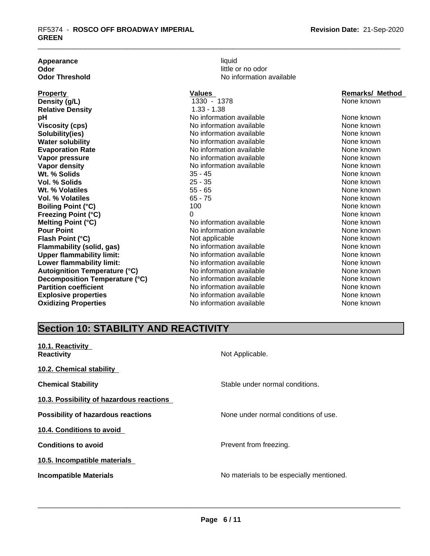| Appearance                           | liquid                   |                        |
|--------------------------------------|--------------------------|------------------------|
| Odor                                 | little or no odor        |                        |
| <b>Odor Threshold</b>                | No information available |                        |
| <b>Property</b>                      | Values                   | <b>Remarks/ Method</b> |
| Density (g/L)                        | 1330 - 1378              | None known             |
| <b>Relative Density</b>              | $1.33 - 1.38$            |                        |
| рH                                   | No information available | None known             |
| <b>Viscosity (cps)</b>               | No information available | None known             |
| Solubility(ies)                      | No information available | None known             |
| <b>Water solubility</b>              | No information available | None known             |
| <b>Evaporation Rate</b>              | No information available | None known             |
| Vapor pressure                       | No information available | None known             |
| Vapor density                        | No information available | None known             |
| Wt. % Solids                         | $35 - 45$                | None known             |
| Vol. % Solids                        | $25 - 35$                | None known             |
| Wt. % Volatiles                      | $55 - 65$                | None known             |
| Vol. % Volatiles                     | $65 - 75$                | None known             |
| <b>Boiling Point (°C)</b>            | 100                      | None known             |
| Freezing Point (°C)                  | 0                        | None known             |
| Melting Point (°C)                   | No information available | None known             |
| <b>Pour Point</b>                    | No information available | None known             |
| Flash Point (°C)                     | Not applicable           | None known             |
| Flammability (solid, gas)            | No information available | None known             |
| <b>Upper flammability limit:</b>     | No information available | None known             |
| Lower flammability limit:            | No information available | None known             |
| <b>Autoignition Temperature (°C)</b> | No information available | None known             |
| Decomposition Temperature (°C)       | No information available | None known             |
| <b>Partition coefficient</b>         | No information available | None known             |
| <b>Explosive properties</b>          | No information available | None known             |
| <b>Oxidizing Properties</b>          | No information available | None known             |

# **Section 10: STABILITY AND REACTIVITY**

| 10.1. Reactivity<br><b>Reactivity</b>     | Not Applicable.                          |
|-------------------------------------------|------------------------------------------|
| 10.2. Chemical stability                  |                                          |
| <b>Chemical Stability</b>                 | Stable under normal conditions.          |
| 10.3. Possibility of hazardous reactions  |                                          |
| <b>Possibility of hazardous reactions</b> | None under normal conditions of use.     |
| 10.4. Conditions to avoid                 |                                          |
| <b>Conditions to avoid</b>                | Prevent from freezing.                   |
| 10.5. Incompatible materials              |                                          |
| <b>Incompatible Materials</b>             | No materials to be especially mentioned. |
|                                           |                                          |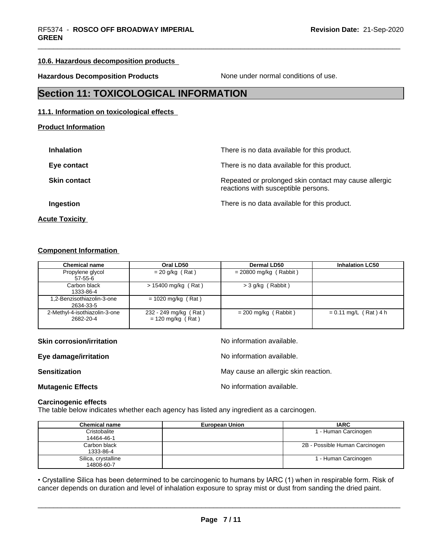#### **10.6. Hazardous decomposition products**

**Hazardous Decomposition Products** None under normal conditions of use.

## **Section 11: TOXICOLOGICAL INFORMATION**

#### **11.1. Information on toxicological effects**

#### **Product Information**

| <b>Inhalation</b>   | There is no data available for this product.                                                 |
|---------------------|----------------------------------------------------------------------------------------------|
| Eye contact         | There is no data available for this product.                                                 |
| <b>Skin contact</b> | Repeated or prolonged skin contact may cause allergic<br>reactions with susceptible persons. |
| Ingestion           | There is no data available for this product.                                                 |
|                     |                                                                                              |

# **Acute Toxicity**

#### **Component Information**

| <b>Chemical name</b>                       | Oral LD50                                    | <b>Dermal LD50</b>       | <b>Inhalation LC50</b>  |
|--------------------------------------------|----------------------------------------------|--------------------------|-------------------------|
| Propylene glycol<br>$57 - 55 - 6$          | $= 20$ g/kg (Rat)                            | $= 20800$ mg/kg (Rabbit) |                         |
| Carbon black<br>1333-86-4                  | $> 15400$ mg/kg (Rat)                        | > 3 g/kg (Rabbit)        |                         |
| .2-Benzisothiazolin-3-one<br>2634-33-5     | $= 1020$ mg/kg (Rat)                         |                          |                         |
| 2-Methyl-4-isothiazolin-3-one<br>2682-20-4 | 232 - 249 mg/kg (Rat)<br>$= 120$ mg/kg (Rat) | $= 200$ mg/kg (Rabbit)   | $= 0.11$ mg/L (Rat) 4 h |

**Skin corrosion/irritation** No information available.

 $\overline{\phantom{a}}$  ,  $\overline{\phantom{a}}$  ,  $\overline{\phantom{a}}$  ,  $\overline{\phantom{a}}$  ,  $\overline{\phantom{a}}$  ,  $\overline{\phantom{a}}$  ,  $\overline{\phantom{a}}$  ,  $\overline{\phantom{a}}$  ,  $\overline{\phantom{a}}$  ,  $\overline{\phantom{a}}$  ,  $\overline{\phantom{a}}$  ,  $\overline{\phantom{a}}$  ,  $\overline{\phantom{a}}$  ,  $\overline{\phantom{a}}$  ,  $\overline{\phantom{a}}$  ,  $\overline{\phantom{a}}$ 

**Eye damage/irritation Eye damage/irritation No information available. Sensitization Sensitization** May cause an allergic skin reaction. **Mutagenic Effects** Mutagenic Effects

#### **Carcinogenic effects**

The table below indicates whether each agency has listed any ingredient as a carcinogen.

| <b>Chemical name</b> | <b>European Union</b> | <b>IARC</b>                    |
|----------------------|-----------------------|--------------------------------|
| Cristobalite         |                       | 1 - Human Carcinogen           |
| 14464-46-1           |                       |                                |
| Carbon black         |                       | 2B - Possible Human Carcinogen |
| 1333-86-4            |                       |                                |
| Silica, crystalline  |                       | 1 - Human Carcinogen           |
| 14808-60-7           |                       |                                |

• Crystalline Silica has been determined to be carcinogenic to humans by IARC (1) when in respirable form. Risk of cancer depends on duration and level of inhalation exposure to spray mist or dust from sanding the dried pa cancer depends on duration and level of inhalation exposure to spray mist or dust from sanding the dried paint.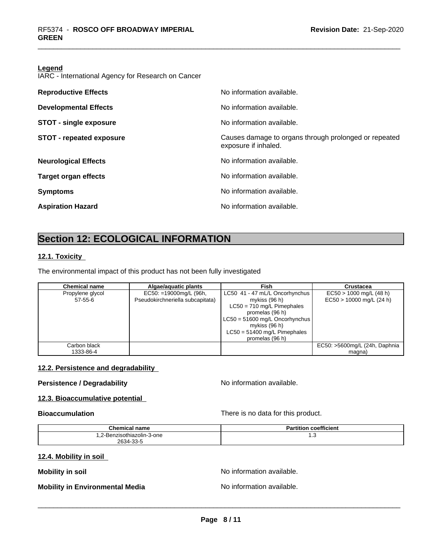#### **Legend**

IARC - International Agency for Research on Cancer

| <b>Reproductive Effects</b>     | No information available.                                                     |
|---------------------------------|-------------------------------------------------------------------------------|
| <b>Developmental Effects</b>    | No information available.                                                     |
| <b>STOT - single exposure</b>   | No information available.                                                     |
| <b>STOT - repeated exposure</b> | Causes damage to organs through prolonged or repeated<br>exposure if inhaled. |
| <b>Neurological Effects</b>     | No information available.                                                     |
| <b>Target organ effects</b>     | No information available.                                                     |
| <b>Symptoms</b>                 | No information available.                                                     |
| <b>Aspiration Hazard</b>        | No information available.                                                     |
|                                 |                                                                               |

# **Section 12: ECOLOGICAL INFORMATION**

#### **12.1. Toxicity**

The environmental impact of this product has not been fully investigated

| <b>Chemical name</b> | Algae/aguatic plants             | Fish                             | Crustacea                     |
|----------------------|----------------------------------|----------------------------------|-------------------------------|
| Propylene glycol     | EC50: =19000mg/L (96h,           | LC50 41 - 47 mL/L Oncorhynchus   | $EC50 > 1000$ mg/L (48 h)     |
| 57-55-6              | Pseudokirchneriella subcapitata) | mykiss (96 h)                    | $EC50 > 10000$ mg/L (24 h)    |
|                      |                                  | $LC50 = 710$ mg/L Pimephales     |                               |
|                      |                                  | promelas (96 h)                  |                               |
|                      |                                  | $LC50 = 51600$ mg/L Oncorhynchus |                               |
|                      |                                  | mykiss (96 h)                    |                               |
|                      |                                  | $LC50 = 51400$ mg/L Pimephales   |                               |
|                      |                                  | promelas (96 h)                  |                               |
| Carbon black         |                                  |                                  | EC50: >5600mg/L (24h, Daphnia |
| 1333-86-4            |                                  |                                  | magna)                        |

#### **12.2. Persistence and degradability**

#### **Persistence / Degradability** No information available.

#### **12.3. Bioaccumulative potential**

**Bioaccumulation** There is no data for this product.

| <b>Chemical name</b>       | <b>Partition coefficient</b> |
|----------------------------|------------------------------|
| 1.2-Benzisothiazolin-3-one | ں. ا                         |
| 2634-33-5                  |                              |

#### **12.4. Mobility in soil**

**Mobility** in soil **Mobility** in soil

### **Mobility in Environmental Media** Noinformation available.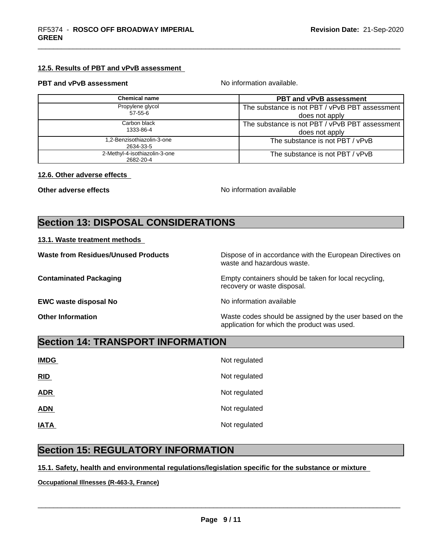#### **12.5. Results of PBT and vPvB assessment**

#### **PBT and vPvB assessment No information available.**

| Chemical name                              | <b>PBT and vPvB assessment</b>                 |
|--------------------------------------------|------------------------------------------------|
| Propylene glycol                           | The substance is not PBT / vPvB PBT assessment |
| 57-55-6                                    | does not apply                                 |
| Carbon black                               | The substance is not PBT / vPvB PBT assessment |
| 1333-86-4                                  | does not apply                                 |
| 1.2-Benzisothiazolin-3-one<br>2634-33-5    | The substance is not PBT / vPvB                |
| 2-Methyl-4-isothiazolin-3-one<br>2682-20-4 | The substance is not PBT / vPvB                |

#### **12.6. Other adverse effects**

**Other adverse effects** No information available

# **Section 13: DISPOSAL CONSIDERATIONS**

#### **13.1. Waste treatment methods**

| <b>Waste from Residues/Unused Products</b> | Dispose of in accordance with the European Directives on<br>waste and hazardous waste.                 |
|--------------------------------------------|--------------------------------------------------------------------------------------------------------|
| <b>Contaminated Packaging</b>              | Empty containers should be taken for local recycling,<br>recovery or waste disposal.                   |
| <b>EWC waste disposal No</b>               | No information available                                                                               |
| <b>Other Information</b>                   | Waste codes should be assigned by the user based on the<br>application for which the product was used. |

## **Section 14: TRANSPORT INFORMATION**

| <b>IMDG</b> | Not regulated |
|-------------|---------------|
| RID         | Not regulated |
| <b>ADR</b>  | Not regulated |
| <b>ADN</b>  | Not regulated |
| <b>IATA</b> | Not regulated |

# **Section 15: REGULATORY INFORMATION**

#### **15.1. Safety, health and environmental regulations/legislation specific for the substance or mixture**

**Occupational Illnesses (R-463-3, France)**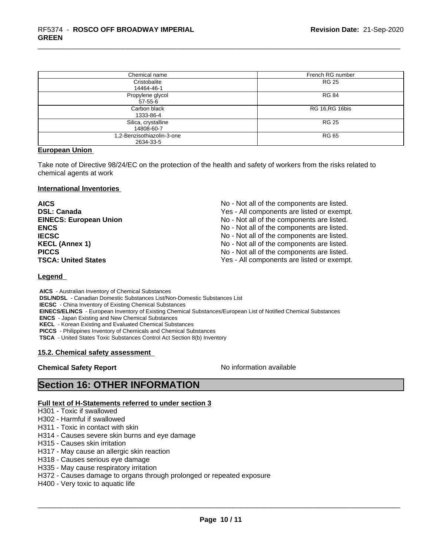| Chemical name                           | French RG number       |
|-----------------------------------------|------------------------|
| Cristobalite<br>14464-46-1              | <b>RG 25</b>           |
| Propylene glycol<br>$57 - 55 - 6$       | <b>RG 84</b>           |
| Carbon black<br>1333-86-4               | <b>RG 16, RG 16bis</b> |
| Silica, crystalline<br>14808-60-7       | <b>RG 25</b>           |
| 1,2-Benzisothiazolin-3-one<br>2634-33-5 | RG 65                  |

#### **European Union**

Take note of Directive 98/24/EC on the protection of the health and safety of workers from the risks related to chemical agents at work

#### **International Inventories**

**AICS** No - Not all of the components are listed. **DSL: Canada** Yes - All components are listed or exempt.<br>**EINECS: European Union** Wo-Not all of the components are listed. No - Not all of the components are listed. **ENCS ENCS ENCS ENCS ENCS ENCS ENCS ENCS ENCS ENCS ENCS ENCS ENCS ENCS ENCS ENCS ENCS ENCS ENCS ENCS ENCS ENCS ENCS ENCS ENCS ENCS ENCS ENCS IECSC**<br> **IECSC**<br> **IECSC**<br> **IECSC**<br> **IECSC**<br> **IECSC**<br> **IECSC**<br> **IECSC**<br> **IECL**<br> **IECL**<br> **IECL**<br> **IECL**<br> **IECL**<br> **IECL**<br> **IECL** No - Not all of the components are listed. **PICCS No** - Not all of the components are listed. **TSCA: United States** Yes - All components are listed or exempt.

#### **Legend**

 **AICS** - Australian Inventory of Chemical Substances  **DSL/NDSL** - Canadian Domestic Substances List/Non-Domestic Substances List  **IECSC** - China Inventory of Existing Chemical Substances

 **EINECS/ELINCS** - European Inventory of Existing Chemical Substances/European List of Notified Chemical Substances

 **ENCS** - Japan Existing and New Chemical Substances

 **KECL** - Korean Existing and Evaluated Chemical Substances

 **PICCS** - Philippines Inventory of Chemicals and Chemical Substances

 **TSCA** - United States Toxic Substances Control Act Section 8(b) Inventory

#### **15.2. Chemical safety assessment**

#### **Chemical Safety Report** No information available

 $\overline{\phantom{a}}$  ,  $\overline{\phantom{a}}$  ,  $\overline{\phantom{a}}$  ,  $\overline{\phantom{a}}$  ,  $\overline{\phantom{a}}$  ,  $\overline{\phantom{a}}$  ,  $\overline{\phantom{a}}$  ,  $\overline{\phantom{a}}$  ,  $\overline{\phantom{a}}$  ,  $\overline{\phantom{a}}$  ,  $\overline{\phantom{a}}$  ,  $\overline{\phantom{a}}$  ,  $\overline{\phantom{a}}$  ,  $\overline{\phantom{a}}$  ,  $\overline{\phantom{a}}$  ,  $\overline{\phantom{a}}$ 

## **Section 16: OTHER INFORMATION**

#### **Full text of H-Statements referred to under section 3**

H301 - Toxic if swallowed

- H302 Harmful if swallowed
- H311 Toxic in contact with skin
- H314 Causes severe skin burns and eye damage
- H315 Causes skin irritation
- H317 May cause an allergic skin reaction
- H318 Causes serious eye damage
- H335 May cause respiratory irritation
- H372 Causes damage to organs through prolonged or repeated exposure
- H400 Very toxic to aquatic life